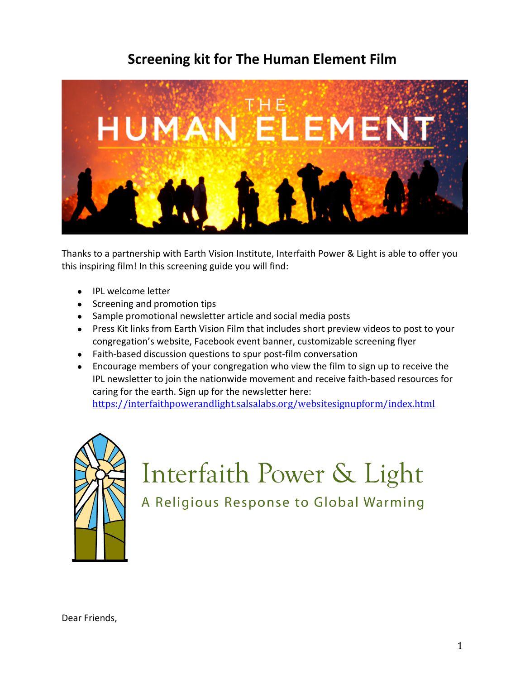# **Screening kit for The Human Element Film**



Thanks to a partnership with Earth Vision Institute, Interfaith Power & Light is able to offer you this inspiring film! In this screening guide you will find:

- IPL welcome letter
- Screening and promotion tips
- Sample promotional newsletter article and social media posts
- Press Kit links from Earth Vision Film that includes short preview videos to post to your congregation's website, Facebook event banner, customizable screening flyer
- Faith-based discussion questions to spur post-film conversation
- Encourage members of your congregation who view the film to sign up to receive the IPL newsletter to join the nationwide movement and receive faith-based resources for caring for the earth. Sign up for the newsletter here: https://interfaithpowerandlight.salsalabs.org/websitesignupform/index.html



# Interfaith Power & Light

A Religious Response to Global Warming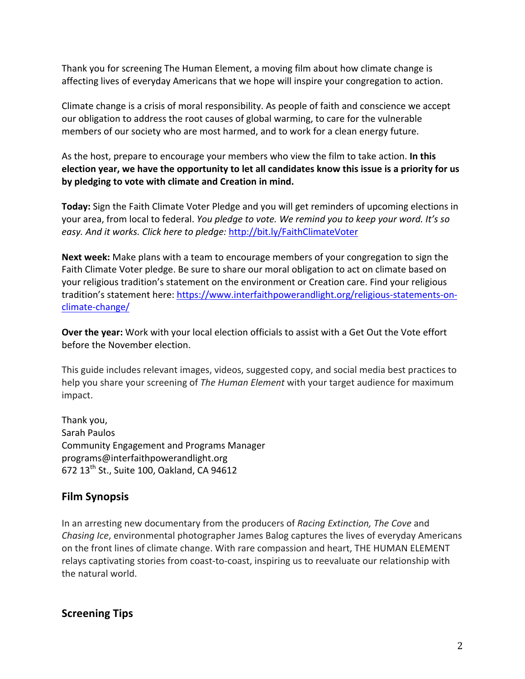Thank you for screening The Human Element, a moving film about how climate change is affecting lives of everyday Americans that we hope will inspire your congregation to action.

Climate change is a crisis of moral responsibility. As people of faith and conscience we accept our obligation to address the root causes of global warming, to care for the vulnerable members of our society who are most harmed, and to work for a clean energy future.

As the host, prepare to encourage your members who view the film to take action. In this election year, we have the opportunity to let all candidates know this issue is a priority for us by pledging to vote with climate and Creation in mind.

**Today:** Sign the Faith Climate Voter Pledge and you will get reminders of upcoming elections in your area, from local to federal. *You pledge to vote. We remind you to keep your word.* It's so easy. And it works. Click here to pledge: http://bit.ly/FaithClimateVoter

**Next week:** Make plans with a team to encourage members of your congregation to sign the Faith Climate Voter pledge. Be sure to share our moral obligation to act on climate based on your religious tradition's statement on the environment or Creation care. Find your religious tradition's statement here: https://www.interfaithpowerandlight.org/religious-statements-onclimate-change/

**Over the year:** Work with your local election officials to assist with a Get Out the Vote effort before the November election.

This guide includes relevant images, videos, suggested copy, and social media best practices to help you share your screening of *The Human Element* with your target audience for maximum impact. 

Thank you, Sarah Paulos Community Engagement and Programs Manager programs@interfaithpowerandlight.org 672  $13^{th}$  St., Suite 100, Oakland, CA 94612

# **Film Synopsis**

In an arresting new documentary from the producers of *Racing Extinction, The Cove* and *Chasing Ice*, environmental photographer James Balog captures the lives of everyday Americans on the front lines of climate change. With rare compassion and heart, THE HUMAN ELEMENT relays captivating stories from coast-to-coast, inspiring us to reevaluate our relationship with the natural world.

**Screening Tips**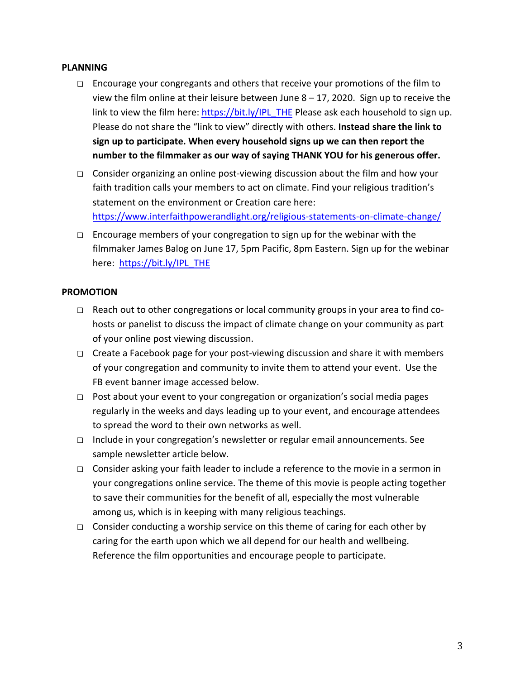#### **PLANNING**

- $\Box$  Encourage your congregants and others that receive your promotions of the film to view the film online at their leisure between June  $8 - 17$ , 2020. Sign up to receive the link to view the film here: https://bit.ly/IPL THE Please ask each household to sign up. Please do not share the "link to view" directly with others. Instead share the link to sign up to participate. When every household signs up we can then report the number to the filmmaker as our way of saying THANK YOU for his generous offer.
- $\Box$  Consider organizing an online post-viewing discussion about the film and how your faith tradition calls your members to act on climate. Find your religious tradition's statement on the environment or Creation care here: https://www.interfaithpowerandlight.org/religious-statements-on-climate-change/
- $\Box$  Encourage members of your congregation to sign up for the webinar with the filmmaker James Balog on June 17, 5pm Pacific, 8pm Eastern. Sign up for the webinar here: https://bit.ly/IPL\_THE

#### **PROMOTION**

- $\Box$  Reach out to other congregations or local community groups in your area to find cohosts or panelist to discuss the impact of climate change on your community as part of your online post viewing discussion.
- □ Create a Facebook page for your post-viewing discussion and share it with members of your congregation and community to invite them to attend your event. Use the FB event banner image accessed below.
- $\Box$  Post about your event to your congregation or organization's social media pages regularly in the weeks and days leading up to your event, and encourage attendees to spread the word to their own networks as well.
- $\Box$  Include in your congregation's newsletter or regular email announcements. See sample newsletter article below.
- $\Box$  Consider asking your faith leader to include a reference to the movie in a sermon in your congregations online service. The theme of this movie is people acting together to save their communities for the benefit of all, especially the most vulnerable among us, which is in keeping with many religious teachings.
- □ Consider conducting a worship service on this theme of caring for each other by caring for the earth upon which we all depend for our health and wellbeing. Reference the film opportunities and encourage people to participate.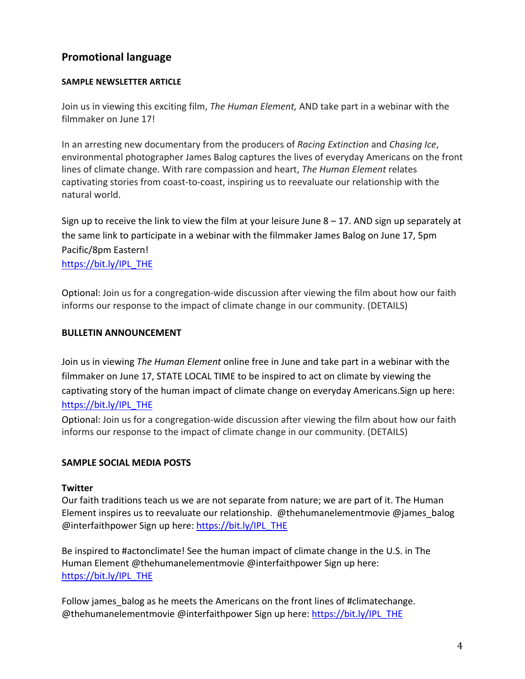# **Promotional language**

#### **SAMPLE NEWSLETTER ARTICLE**

Join us in viewing this exciting film, *The Human Element*, AND take part in a webinar with the filmmaker on June 17!

In an arresting new documentary from the producers of *Racing Extinction* and *Chasing Ice*, environmental photographer James Balog captures the lives of everyday Americans on the front lines of climate change. With rare compassion and heart, *The Human Element* relates captivating stories from coast-to-coast, inspiring us to reevaluate our relationship with the natural world.

Sign up to receive the link to view the film at your leisure June  $8 - 17$ . AND sign up separately at the same link to participate in a webinar with the filmmaker James Balog on June 17, 5pm Pacific/8pm Eastern! https://bit.ly/IPL\_THE

Optional: Join us for a congregation-wide discussion after viewing the film about how our faith informs our response to the impact of climate change in our community. (DETAILS)

#### **BULLETIN ANNOUNCEMENT**

Join us in viewing *The Human Element* online free in June and take part in a webinar with the filmmaker on June 17, STATE LOCAL TIME to be inspired to act on climate by viewing the captivating story of the human impact of climate change on everyday Americans. Sign up here: https://bit.ly/IPL\_THE

Optional: Join us for a congregation-wide discussion after viewing the film about how our faith informs our response to the impact of climate change in our community. (DETAILS)

#### **SAMPLE SOCIAL MEDIA POSTS**

#### **Twitter**

Our faith traditions teach us we are not separate from nature; we are part of it. The Human Element inspires us to reevaluate our relationship. @thehumanelementmovie @james\_balog @interfaithpower Sign up here: https://bit.ly/IPL\_THE

Be inspired to #actonclimate! See the human impact of climate change in the U.S. in The Human Element  $\omega$ thehumanelementmovie  $\omega$ interfaithpower Sign up here: https://bit.ly/IPL\_THE

Follow james balog as he meets the Americans on the front lines of #climatechange. @thehumanelementmovie @interfaithpower Sign up here: https://bit.ly/IPL\_THE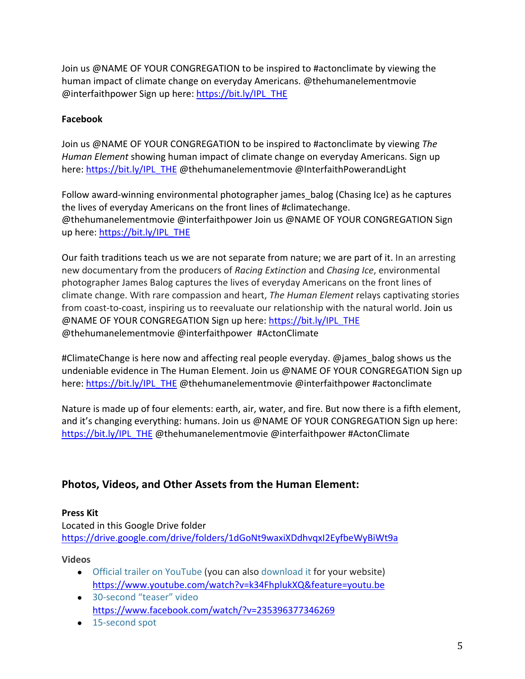Join us @NAME OF YOUR CONGREGATION to be inspired to #actonclimate by viewing the human impact of climate change on everyday Americans. @thehumanelementmovie @interfaithpower Sign up here: https://bit.ly/IPL\_THE

### **Facebook**

Join us @NAME OF YOUR CONGREGATION to be inspired to #actonclimate by viewing *The Human Element* showing human impact of climate change on everyday Americans. Sign up here: https://bit.ly/IPL\_THE @thehumanelementmovie @InterfaithPowerandLight

Follow award-winning environmental photographer james balog (Chasing Ice) as he captures the lives of everyday Americans on the front lines of #climatechange. @thehumanelementmovie @interfaithpower Join us @NAME OF YOUR CONGREGATION Sign up here: https://bit.ly/IPL\_THE

Our faith traditions teach us we are not separate from nature; we are part of it. In an arresting new documentary from the producers of *Racing Extinction* and *Chasing Ice*, environmental photographer James Balog captures the lives of everyday Americans on the front lines of climate change. With rare compassion and heart, *The Human Element* relays captivating stories from coast-to-coast, inspiring us to reevaluate our relationship with the natural world. Join us @NAME OF YOUR CONGREGATION Sign up here: https://bit.ly/IPL\_THE @thehumanelementmovie @interfaithpower #ActonClimate

#ClimateChange is here now and affecting real people everyday. @james balog shows us the undeniable evidence in The Human Element. Join us @NAME OF YOUR CONGREGATION Sign up here: https://bit.ly/IPL\_THE @thehumanelementmovie @interfaithpower #actonclimate

Nature is made up of four elements: earth, air, water, and fire. But now there is a fifth element, and it's changing everything: humans. Join us @NAME OF YOUR CONGREGATION Sign up here: https://bit.ly/IPL\_THE @thehumanelementmovie @interfaithpower #ActonClimate

# **Photos, Videos, and Other Assets from the Human Element:**

#### **Press Kit**

Located in this Google Drive folder https://drive.google.com/drive/folders/1dGoNt9waxiXDdhvqxI2EyfbeWyBiWt9a

#### **Videos**

- Official trailer on YouTube (you can also download it for your website) https://www.youtube.com/watch?v=k34FhplukXQ&feature=youtu.be
- 30-second "teaser" video https://www.facebook.com/watch/?v=235396377346269
- 15-second spot